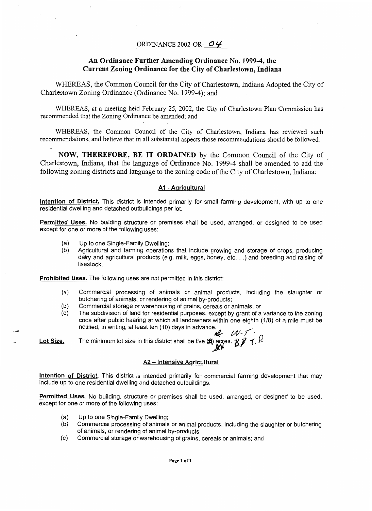## ORDINANCE 2002-OR- *0 4*

## **An Ordinance Further Amending Ordinance No. 1999-4, the Current Zoning Ordinance for the City of Charlestown, Indiana**

WHEREAS, the Common Council for the City of Charlestown, Indiana Adopted the City of Charlestown Zoning Ordinance (Ordinance No. 1999-4); and

WHEREAS, at a meeting held February 25, 2002, the City of Charlestown Plan Commission has recommended that the Zoning Ordinance be amended; and

WHEREAS, the Common Council of the City of Charlestown, Indiana has reviewed such recommendations, and believe that in all substantial aspects those recommendations should be followed.

**NOW, THEREFORE, BE IT ORDAINED** by the Common Council of the City of Charlestown, Indiana, that the language of Ordinance No. 1999-4 shall be amended to add the following zoning districts and language to the zoning code of the City of Charlestown, Indiana:

## **AI** - **Agricultural**

**Intention** *of* **District,** This district is intended primarily for small farming development, with up to one residential dwelling and detached outbuildings per lot.

**Permitted Uses.** No building structure or premises shall be used, arranged, or designed to be used except for one or more of the following uses:

- (a) Up to one Single-Family Dwelling;
- (b) Agricultural and farming operations that include growing and storage of crops, producing dairy and agricultural products (e.g. milk, eggs, honey, etc. . .) and breeding and raising of livestock.

**Prohibited Uses.** The following uses are not permitted in this district:

- (a) Commercial processing of animals or animal products, including the slaughter or butchering of animals, or rendering of animal by-products;
- (b) Commercial storage or warehousing of grains, cereals or animals; or
- (c) The subdivision of land for residential purposes, except by grant of a variance to the zoning code after public hearing at which all landowners within one eighth (118) of a mile must be notified, in writing, at least ten (10) days in advance.

**Lot Size.** The minimum lot size in this district shall be five  $\bigcirc$  acres.  $\mathcal{BF}$   $\uparrow$   $\uparrow$ 

## **A2 - Intensive Agricultural**

**Intention of District,** This district is intended primarily for commercial farming development that may include up to one residential dwelling and detached outbuildings.

**Permitted Uses.** No building, structure or premises shall be used, arranged, or designed to be used, except for one or more of the following uses:

- (a) Up to one Single-Family Dwelling;
- (b) Commercial processing of animals or animal products, including the slaughter or butchering of animals, or rendering of animal by-products
- (c) Commercial storage or warehousing of grains, cereals or animals; and